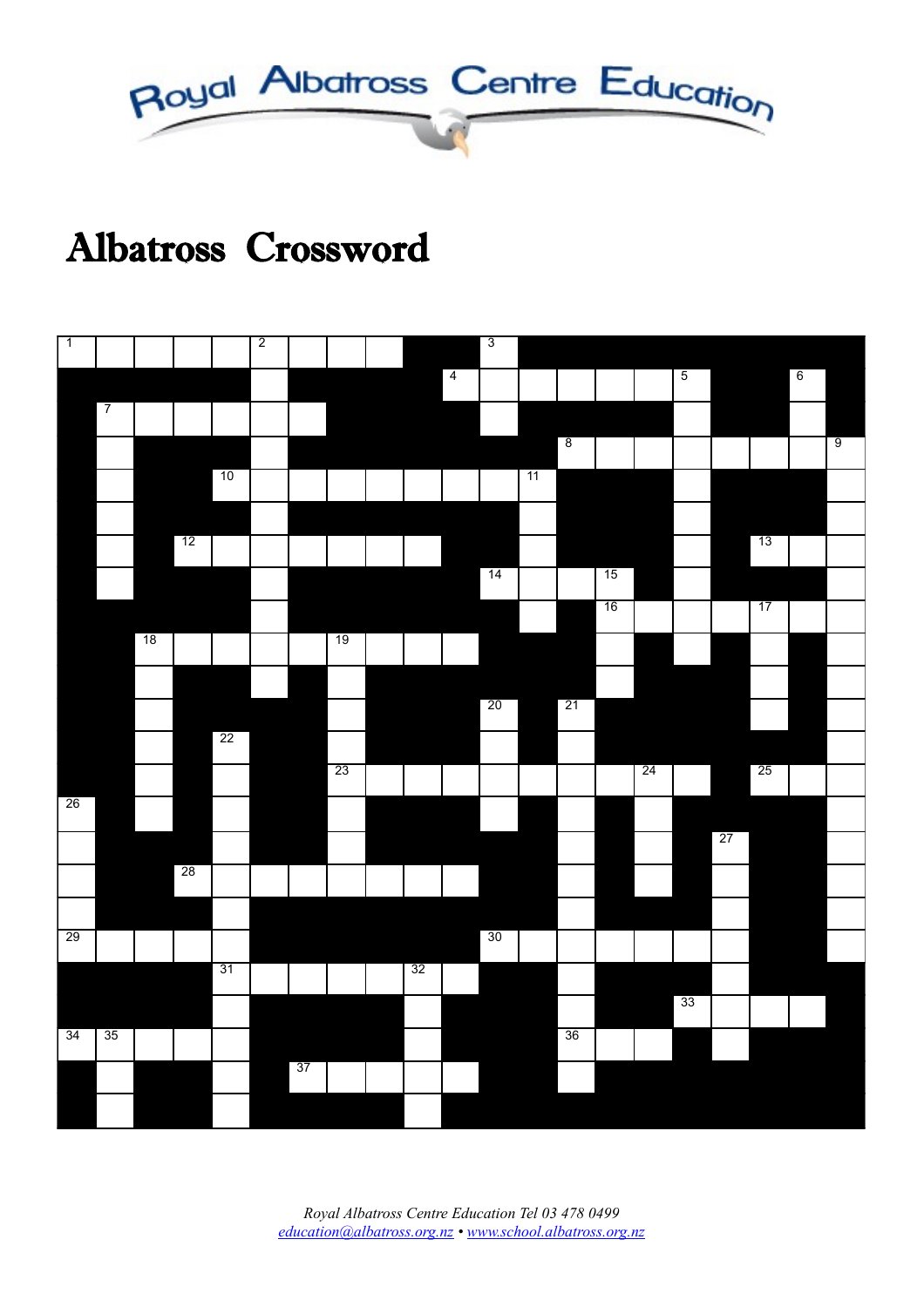

# Albatross Crossword

| $\overline{1}$  |                |    |    |                 | $\overline{2}$ |    |                 |    |                | $\overline{3}$ |    |                |    |                 |                |    |                 |                 |                |
|-----------------|----------------|----|----|-----------------|----------------|----|-----------------|----|----------------|----------------|----|----------------|----|-----------------|----------------|----|-----------------|-----------------|----------------|
|                 |                |    |    |                 |                |    |                 |    | $\overline{4}$ |                |    |                |    |                 | $\overline{5}$ |    |                 | $6\overline{6}$ |                |
|                 | $\overline{7}$ |    |    |                 |                |    |                 |    |                |                |    |                |    |                 |                |    |                 |                 |                |
|                 |                |    |    |                 |                |    |                 |    |                |                |    | $\overline{8}$ |    |                 |                |    |                 |                 | $\overline{9}$ |
|                 |                |    |    | 10              |                |    |                 |    |                |                | 11 |                |    |                 |                |    |                 |                 |                |
|                 |                |    |    |                 |                |    |                 |    |                |                |    |                |    |                 |                |    |                 |                 |                |
|                 |                |    | 12 |                 |                |    |                 |    |                |                |    |                |    |                 |                |    | 13              |                 |                |
|                 |                |    |    |                 |                |    |                 |    |                | 14             |    |                | 15 |                 |                |    |                 |                 |                |
|                 |                |    |    |                 |                |    |                 |    |                |                |    |                | 16 |                 |                |    | 17              |                 |                |
|                 |                | 18 |    |                 |                |    | 19              |    |                |                |    |                |    |                 |                |    |                 |                 |                |
|                 |                |    |    |                 |                |    |                 |    |                |                |    |                |    |                 |                |    |                 |                 |                |
|                 |                |    |    |                 |                |    |                 |    |                | 20             |    | 21             |    |                 |                |    |                 |                 |                |
|                 |                |    |    | 22              |                |    |                 |    |                |                |    |                |    |                 |                |    |                 |                 |                |
|                 |                |    |    |                 |                |    | $\overline{23}$ |    |                |                |    |                |    | $\overline{24}$ |                |    | $\overline{25}$ |                 |                |
| 26              |                |    |    |                 |                |    |                 |    |                |                |    |                |    |                 |                |    |                 |                 |                |
|                 |                |    |    |                 |                |    |                 |    |                |                |    |                |    |                 |                | 27 |                 |                 |                |
|                 |                |    | 28 |                 |                |    |                 |    |                |                |    |                |    |                 |                |    |                 |                 |                |
|                 |                |    |    |                 |                |    |                 |    |                |                |    |                |    |                 |                |    |                 |                 |                |
| $\overline{29}$ |                |    |    |                 |                |    |                 |    |                | 30             |    |                |    |                 |                |    |                 |                 |                |
|                 |                |    |    | $\overline{31}$ |                |    |                 | 32 |                |                |    |                |    |                 |                |    |                 |                 |                |
|                 |                |    |    |                 |                |    |                 |    |                |                |    |                |    |                 | 33             |    |                 |                 |                |
| 34              | 35             |    |    |                 |                |    |                 |    |                |                |    | 36             |    |                 |                |    |                 |                 |                |
|                 |                |    |    |                 |                | 37 |                 |    |                |                |    |                |    |                 |                |    |                 |                 |                |
|                 |                |    |    |                 |                |    |                 |    |                |                |    |                |    |                 |                |    |                 |                 |                |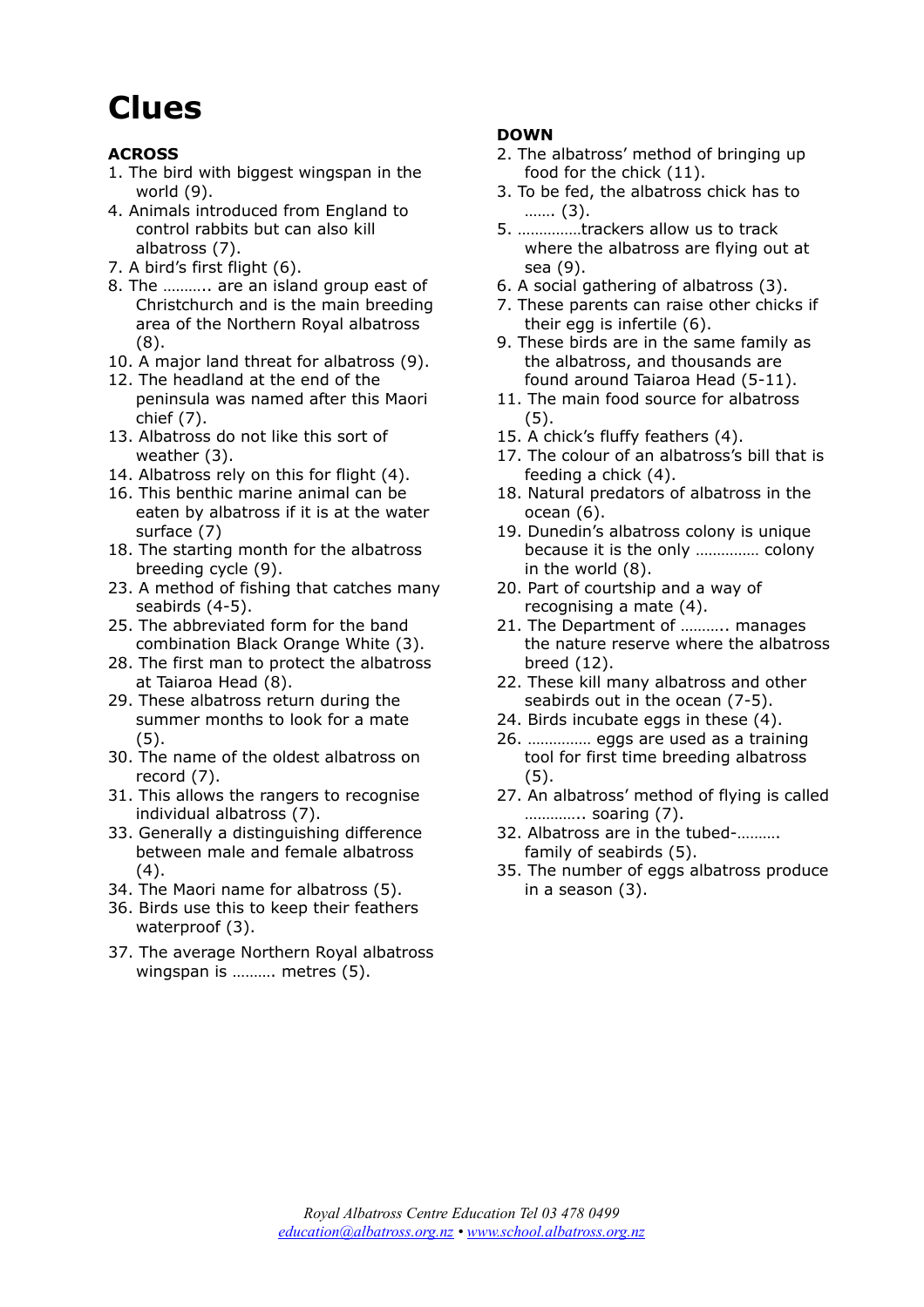## **Clues**

#### **ACROSS**

- 1. The bird with biggest wingspan in the world (9).
- 4. Animals introduced from England to control rabbits but can also kill albatross (7).
- 7. A bird's first flight (6).
- 8. The ……….. are an island group east of Christchurch and is the main breeding area of the Northern Royal albatross (8).
- 10. A major land threat for albatross (9).
- 12. The headland at the end of the peninsula was named after this Maori chief (7).
- 13. Albatross do not like this sort of weather (3).
- 14. Albatross rely on this for flight (4).
- 16. This benthic marine animal can be eaten by albatross if it is at the water surface (7)
- 18. The starting month for the albatross breeding cycle (9).
- 23. A method of fishing that catches many seabirds (4-5).
- 25. The abbreviated form for the band combination Black Orange White (3).
- 28. The first man to protect the albatross at Taiaroa Head (8).
- 29. These albatross return during the summer months to look for a mate (5).
- 30. The name of the oldest albatross on record (7).
- 31. This allows the rangers to recognise individual albatross (7).
- 33. Generally a distinguishing difference between male and female albatross (4).
- 34. The Maori name for albatross (5).
- 36. Birds use this to keep their feathers waterproof (3).
- 37. The average Northern Royal albatross wingspan is ………. metres (5).

#### **DOWN**

- 2. The albatross' method of bringing up food for the chick (11).
- 3. To be fed, the albatross chick has to ……. (3).
- 5. ……………trackers allow us to track where the albatross are flying out at sea (9).
- 6. A social gathering of albatross (3).
- 7. These parents can raise other chicks if their egg is infertile (6).
- 9. These birds are in the same family as the albatross, and thousands are found around Taiaroa Head (5-11).
- 11. The main food source for albatross (5).
- 15. A chick's fluffy feathers (4).
- 17. The colour of an albatross's bill that is feeding a chick (4).
- 18. Natural predators of albatross in the ocean (6).
- 19. Dunedin's albatross colony is unique because it is the only …………… colony in the world (8).
- 20. Part of courtship and a way of recognising a mate (4).
- 21. The Department of ……….. manages the nature reserve where the albatross breed (12).
- 22. These kill many albatross and other seabirds out in the ocean (7-5).
- 24. Birds incubate eggs in these (4).
- 26. …………… eggs are used as a training tool for first time breeding albatross (5).
- 27. An albatross' method of flying is called ………….. soaring (7).
- 32. Albatross are in the tubed-………. family of seabirds (5).
- 35. The number of eggs albatross produce in a season (3).